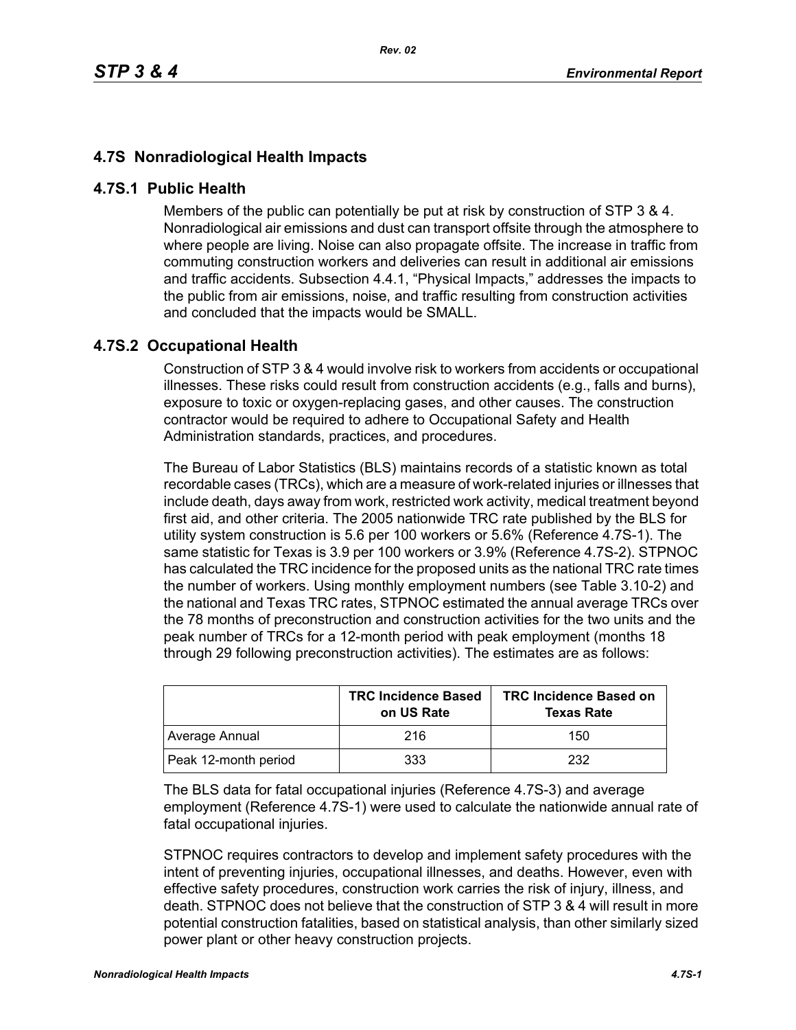## **4.7S Nonradiological Health Impacts**

## **4.7S.1 Public Health**

Members of the public can potentially be put at risk by construction of STP 3 & 4. Nonradiological air emissions and dust can transport offsite through the atmosphere to where people are living. Noise can also propagate offsite. The increase in traffic from commuting construction workers and deliveries can result in additional air emissions and traffic accidents. Subsection 4.4.1, "Physical Impacts," addresses the impacts to the public from air emissions, noise, and traffic resulting from construction activities and concluded that the impacts would be SMALL.

## **4.7S.2 Occupational Health**

Construction of STP 3 & 4 would involve risk to workers from accidents or occupational illnesses. These risks could result from construction accidents (e.g., falls and burns), exposure to toxic or oxygen-replacing gases, and other causes. The construction contractor would be required to adhere to Occupational Safety and Health Administration standards, practices, and procedures.

The Bureau of Labor Statistics (BLS) maintains records of a statistic known as total recordable cases (TRCs), which are a measure of work-related injuries or illnesses that include death, days away from work, restricted work activity, medical treatment beyond first aid, and other criteria. The 2005 nationwide TRC rate published by the BLS for utility system construction is 5.6 per 100 workers or 5.6% (Reference 4.7S-1). The same statistic for Texas is 3.9 per 100 workers or 3.9% (Reference 4.7S-2). STPNOC has calculated the TRC incidence for the proposed units as the national TRC rate times the number of workers. Using monthly employment numbers (see Table 3.10-2) and the national and Texas TRC rates, STPNOC estimated the annual average TRCs over the 78 months of preconstruction and construction activities for the two units and the peak number of TRCs for a 12-month period with peak employment (months 18 through 29 following preconstruction activities). The estimates are as follows:

|                      | <b>TRC Incidence Based</b><br>on US Rate | <b>TRC Incidence Based on</b><br><b>Texas Rate</b> |
|----------------------|------------------------------------------|----------------------------------------------------|
| Average Annual       | 216                                      | 150                                                |
| Peak 12-month period | 333                                      | 232                                                |

The BLS data for fatal occupational injuries (Reference 4.7S-3) and average employment (Reference 4.7S-1) were used to calculate the nationwide annual rate of fatal occupational injuries.

STPNOC requires contractors to develop and implement safety procedures with the intent of preventing injuries, occupational illnesses, and deaths. However, even with effective safety procedures, construction work carries the risk of injury, illness, and death. STPNOC does not believe that the construction of STP 3 & 4 will result in more potential construction fatalities, based on statistical analysis, than other similarly sized power plant or other heavy construction projects.